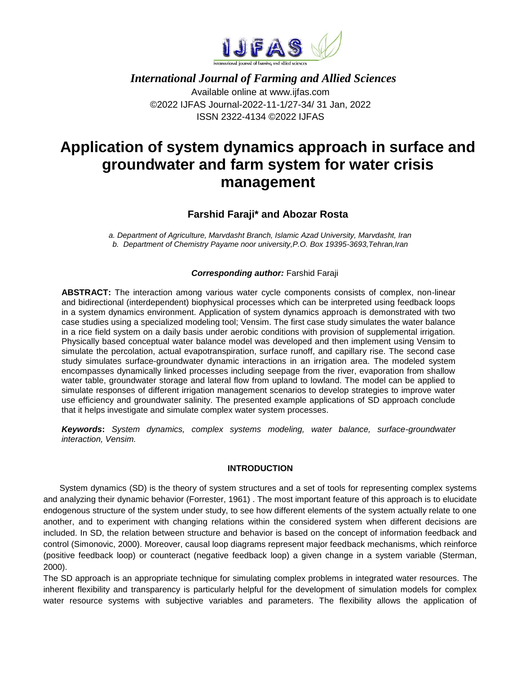

# *International Journal of Farming and Allied Sciences* Available online at www.ijfas.com ©2022 IJFAS Journal-2022-11-1/27-34/ 31 Jan, 2022 ISSN 2322-4134 ©2022 IJFAS

# **Application of system dynamics approach in surface and groundwater and farm system for water crisis management**

## **Farshid Faraji\* and Abozar Rosta**

*a. Department of Agriculture, Marvdasht Branch, Islamic Azad University, Marvdasht, Iran b. Department of Chemistry Payame noor university,P.O. Box 19395-3693,Tehran,Iran*

#### *Corresponding author:* Farshid Faraji

**ABSTRACT:** The interaction among various water cycle components consists of complex, non-linear and bidirectional (interdependent) biophysical processes which can be interpreted using feedback loops in a system dynamics environment. Application of system dynamics approach is demonstrated with two case studies using a specialized modeling tool; Vensim. The first case study simulates the water balance in a rice field system on a daily basis under aerobic conditions with provision of supplemental irrigation. Physically based conceptual water balance model was developed and then implement using Vensim to simulate the percolation, actual evapotranspiration, surface runoff, and capillary rise. The second case study simulates surface-groundwater dynamic interactions in an irrigation area. The modeled system encompasses dynamically linked processes including seepage from the river, evaporation from shallow water table, groundwater storage and lateral flow from upland to lowland. The model can be applied to simulate responses of different irrigation management scenarios to develop strategies to improve water use efficiency and groundwater salinity. The presented example applications of SD approach conclude that it helps investigate and simulate complex water system processes.

*Keywords***:** *System dynamics, complex systems modeling, water balance, surface-groundwater interaction, Vensim.*

#### **INTRODUCTION**

System dynamics (SD) is the theory of system structures and a set of tools for representing complex systems and analyzing their dynamic behavior (Forrester, 1961) . The most important feature of this approach is to elucidate endogenous structure of the system under study, to see how different elements of the system actually relate to one another, and to experiment with changing relations within the considered system when different decisions are included. In SD, the relation between structure and behavior is based on the concept of information feedback and control (Simonovic, 2000). Moreover, causal loop diagrams represent major feedback mechanisms, which reinforce (positive feedback loop) or counteract (negative feedback loop) a given change in a system variable (Sterman, 2000).

The SD approach is an appropriate technique for simulating complex problems in integrated water resources. The inherent flexibility and transparency is particularly helpful for the development of simulation models for complex water resource systems with subjective variables and parameters. The flexibility allows the application of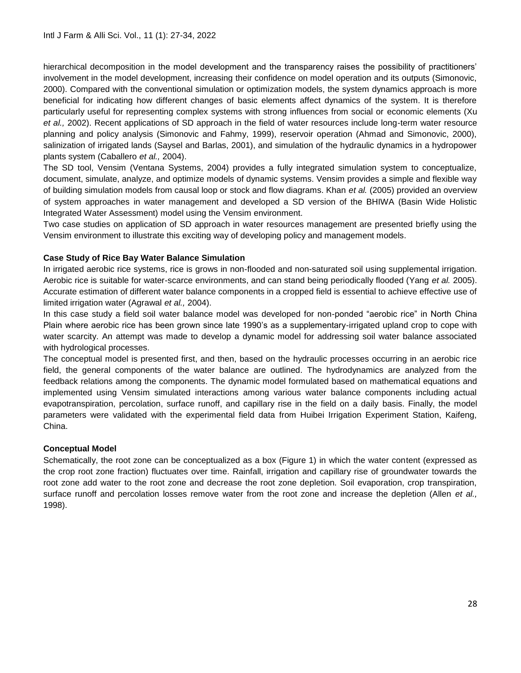hierarchical decomposition in the model development and the transparency raises the possibility of practitioners' involvement in the model development, increasing their confidence on model operation and its outputs (Simonovic, 2000). Compared with the conventional simulation or optimization models, the system dynamics approach is more beneficial for indicating how different changes of basic elements affect dynamics of the system. It is therefore particularly useful for representing complex systems with strong influences from social or economic elements (Xu *et al.,* 2002). Recent applications of SD approach in the field of water resources include long-term water resource planning and policy analysis (Simonovic and Fahmy, 1999), reservoir operation (Ahmad and Simonovic, 2000), salinization of irrigated lands (Saysel and Barlas, 2001), and simulation of the hydraulic dynamics in a hydropower plants system (Caballero *et al.,* 2004).

The SD tool, Vensim (Ventana Systems, 2004) provides a fully integrated simulation system to conceptualize, document, simulate, analyze, and optimize models of dynamic systems. Vensim provides a simple and flexible way of building simulation models from causal loop or stock and flow diagrams. Khan *et al.* (2005) provided an overview of system approaches in water management and developed a SD version of the BHIWA (Basin Wide Holistic Integrated Water Assessment) model using the Vensim environment.

Two case studies on application of SD approach in water resources management are presented briefly using the Vensim environment to illustrate this exciting way of developing policy and management models.

## **Case Study of Rice Bay Water Balance Simulation**

In irrigated aerobic rice systems, rice is grows in non-flooded and non-saturated soil using supplemental irrigation. Aerobic rice is suitable for water-scarce environments, and can stand being periodically flooded (Yang *et al.* 2005). Accurate estimation of different water balance components in a cropped field is essential to achieve effective use of limited irrigation water (Agrawal *et al.,* 2004).

In this case study a field soil water balance model was developed for non-ponded "aerobic rice" in North China Plain where aerobic rice has been grown since late 1990's as a supplementary-irrigated upland crop to cope with water scarcity. An attempt was made to develop a dynamic model for addressing soil water balance associated with hydrological processes.

The conceptual model is presented first, and then, based on the hydraulic processes occurring in an aerobic rice field, the general components of the water balance are outlined. The hydrodynamics are analyzed from the feedback relations among the components. The dynamic model formulated based on mathematical equations and implemented using Vensim simulated interactions among various water balance components including actual evapotranspiration, percolation, surface runoff, and capillary rise in the field on a daily basis. Finally, the model parameters were validated with the experimental field data from Huibei Irrigation Experiment Station, Kaifeng, China.

### **Conceptual Model**

Schematically, the root zone can be conceptualized as a box (Figure 1) in which the water content (expressed as the crop root zone fraction) fluctuates over time. Rainfall, irrigation and capillary rise of groundwater towards the root zone add water to the root zone and decrease the root zone depletion. Soil evaporation, crop transpiration, surface runoff and percolation losses remove water from the root zone and increase the depletion (Allen *et al.,* 1998).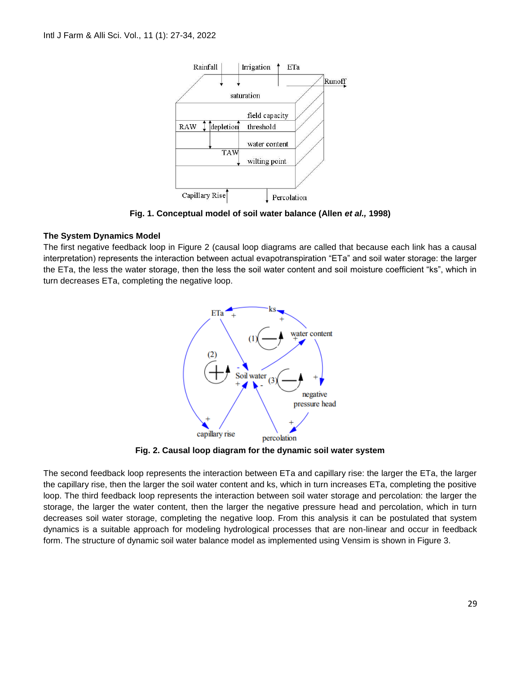

**Fig. 1. Conceptual model of soil water balance (Allen** *et al.,* **1998)**

### **The System Dynamics Model**

The first negative feedback loop in Figure 2 (causal loop diagrams are called that because each link has a causal interpretation) represents the interaction between actual evapotranspiration "ETa" and soil water storage: the larger the ETa, the less the water storage, then the less the soil water content and soil moisture coefficient "ks", which in turn decreases ETa, completing the negative loop.



**Fig. 2. Causal loop diagram for the dynamic soil water system**

The second feedback loop represents the interaction between ETa and capillary rise: the larger the ETa, the larger the capillary rise, then the larger the soil water content and ks, which in turn increases ETa, completing the positive loop. The third feedback loop represents the interaction between soil water storage and percolation: the larger the storage, the larger the water content, then the larger the negative pressure head and percolation, which in turn decreases soil water storage, completing the negative loop. From this analysis it can be postulated that system dynamics is a suitable approach for modeling hydrological processes that are non-linear and occur in feedback form. The structure of dynamic soil water balance model as implemented using Vensim is shown in Figure 3.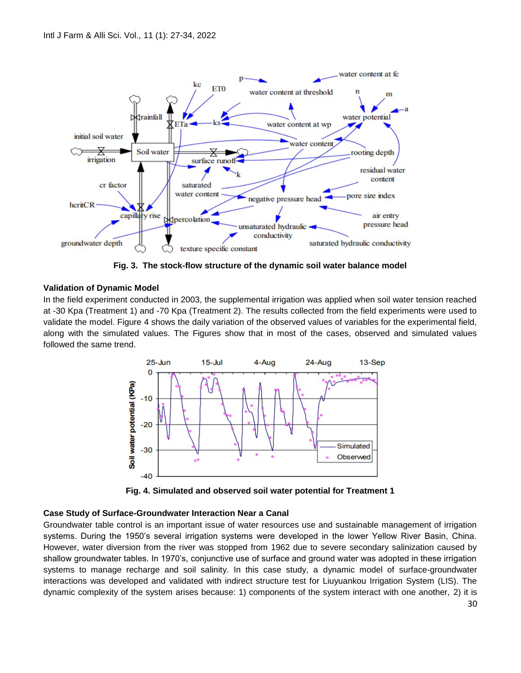

**Fig. 3. The stock-flow structure of the dynamic soil water balance model**

### **Validation of Dynamic Model**

In the field experiment conducted in 2003, the supplemental irrigation was applied when soil water tension reached at -30 Kpa (Treatment 1) and -70 Kpa (Treatment 2). The results collected from the field experiments were used to validate the model. Figure 4 shows the daily variation of the observed values of variables for the experimental field, along with the simulated values. The Figures show that in most of the cases, observed and simulated values followed the same trend.



**Fig. 4. Simulated and observed soil water potential for Treatment 1**

### **Case Study of Surface-Groundwater Interaction Near a Canal**

Groundwater table control is an important issue of water resources use and sustainable management of irrigation systems. During the 1950's several irrigation systems were developed in the lower Yellow River Basin, China. However, water diversion from the river was stopped from 1962 due to severe secondary salinization caused by shallow groundwater tables. In 1970's, conjunctive use of surface and ground water was adopted in these irrigation systems to manage recharge and soil salinity. In this case study, a dynamic model of surface-groundwater interactions was developed and validated with indirect structure test for Liuyuankou Irrigation System (LIS). The dynamic complexity of the system arises because: 1) components of the system interact with one another, 2) it is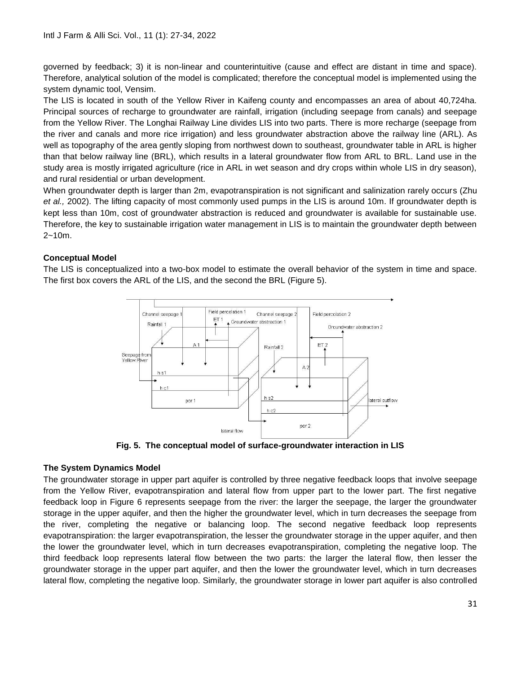governed by feedback; 3) it is non-linear and counterintuitive (cause and effect are distant in time and space). Therefore, analytical solution of the model is complicated; therefore the conceptual model is implemented using the system dynamic tool, Vensim.

The LIS is located in south of the Yellow River in Kaifeng county and encompasses an area of about 40,724ha. Principal sources of recharge to groundwater are rainfall, irrigation (including seepage from canals) and seepage from the Yellow River. The Longhai Railway Line divides LIS into two parts. There is more recharge (seepage from the river and canals and more rice irrigation) and less groundwater abstraction above the railway line (ARL). As well as topography of the area gently sloping from northwest down to southeast, groundwater table in ARL is higher than that below railway line (BRL), which results in a lateral groundwater flow from ARL to BRL. Land use in the study area is mostly irrigated agriculture (rice in ARL in wet season and dry crops within whole LIS in dry season), and rural residential or urban development.

When groundwater depth is larger than 2m, evapotranspiration is not significant and salinization rarely occurs (Zhu *et al.,* 2002). The lifting capacity of most commonly used pumps in the LIS is around 10m. If groundwater depth is kept less than 10m, cost of groundwater abstraction is reduced and groundwater is available for sustainable use. Therefore, the key to sustainable irrigation water management in LIS is to maintain the groundwater depth between 2~10m.

## **Conceptual Model**

The LIS is conceptualized into a two-box model to estimate the overall behavior of the system in time and space. The first box covers the ARL of the LIS, and the second the BRL (Figure 5).



**Fig. 5. The conceptual model of surface-groundwater interaction in LIS**

### **The System Dynamics Model**

The groundwater storage in upper part aquifer is controlled by three negative feedback loops that involve seepage from the Yellow River, evapotranspiration and lateral flow from upper part to the lower part. The first negative feedback loop in Figure 6 represents seepage from the river: the larger the seepage, the larger the groundwater storage in the upper aquifer, and then the higher the groundwater level, which in turn decreases the seepage from the river, completing the negative or balancing loop. The second negative feedback loop represents evapotranspiration: the larger evapotranspiration, the lesser the groundwater storage in the upper aquifer, and then the lower the groundwater level, which in turn decreases evapotranspiration, completing the negative loop. The third feedback loop represents lateral flow between the two parts: the larger the lateral flow, then lesser the groundwater storage in the upper part aquifer, and then the lower the groundwater level, which in turn decreases lateral flow, completing the negative loop. Similarly, the groundwater storage in lower part aquifer is also controlled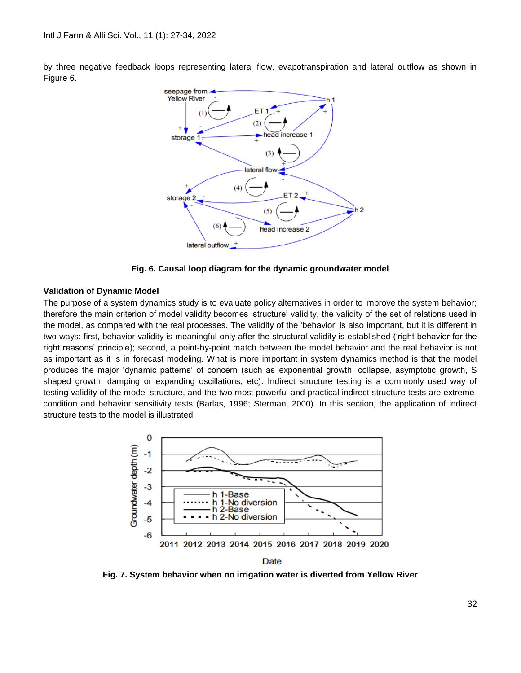by three negative feedback loops representing lateral flow, evapotranspiration and lateral outflow as shown in Figure 6.



**Fig. 6. Causal loop diagram for the dynamic groundwater model**

#### **Validation of Dynamic Model**

The purpose of a system dynamics study is to evaluate policy alternatives in order to improve the system behavior; therefore the main criterion of model validity becomes 'structure' validity, the validity of the set of relations used in the model, as compared with the real processes. The validity of the 'behavior' is also important, but it is different in two ways: first, behavior validity is meaningful only after the structural validity is established ('right behavior for the right reasons' principle); second, a point-by-point match between the model behavior and the real behavior is not as important as it is in forecast modeling. What is more important in system dynamics method is that the model produces the major 'dynamic patterns' of concern (such as exponential growth, collapse, asymptotic growth, S shaped growth, damping or expanding oscillations, etc). Indirect structure testing is a commonly used way of testing validity of the model structure, and the two most powerful and practical indirect structure tests are extremecondition and behavior sensitivity tests (Barlas, 1996; Sterman, 2000). In this section, the application of indirect structure tests to the model is illustrated.



**Fig. 7. System behavior when no irrigation water is diverted from Yellow River**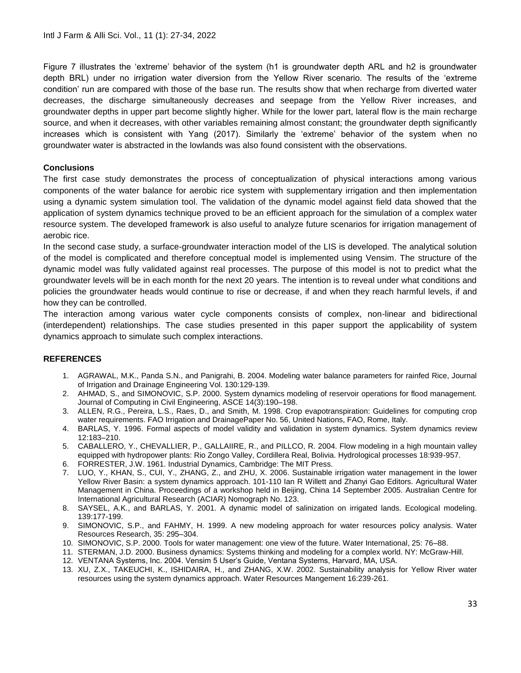Figure 7 illustrates the 'extreme' behavior of the system (h1 is groundwater depth ARL and h2 is groundwater depth BRL) under no irrigation water diversion from the Yellow River scenario. The results of the 'extreme condition' run are compared with those of the base run. The results show that when recharge from diverted water decreases, the discharge simultaneously decreases and seepage from the Yellow River increases, and groundwater depths in upper part become slightly higher. While for the lower part, lateral flow is the main recharge source, and when it decreases, with other variables remaining almost constant; the groundwater depth significantly increases which is consistent with Yang (2017). Similarly the 'extreme' behavior of the system when no groundwater water is abstracted in the lowlands was also found consistent with the observations.

## **Conclusions**

The first case study demonstrates the process of conceptualization of physical interactions among various components of the water balance for aerobic rice system with supplementary irrigation and then implementation using a dynamic system simulation tool. The validation of the dynamic model against field data showed that the application of system dynamics technique proved to be an efficient approach for the simulation of a complex water resource system. The developed framework is also useful to analyze future scenarios for irrigation management of aerobic rice.

In the second case study, a surface-groundwater interaction model of the LIS is developed. The analytical solution of the model is complicated and therefore conceptual model is implemented using Vensim. The structure of the dynamic model was fully validated against real processes. The purpose of this model is not to predict what the groundwater levels will be in each month for the next 20 years. The intention is to reveal under what conditions and policies the groundwater heads would continue to rise or decrease, if and when they reach harmful levels, if and how they can be controlled.

The interaction among various water cycle components consists of complex, non-linear and bidirectional (interdependent) relationships. The case studies presented in this paper support the applicability of system dynamics approach to simulate such complex interactions.

## **REFERENCES**

- 1. AGRAWAL, M.K., Panda S.N., and Panigrahi, B. 2004. Modeling water balance parameters for rainfed Rice, Journal of Irrigation and Drainage Engineering Vol. 130:129-139.
- 2. AHMAD, S., and SIMONOVIC, S.P. 2000. System dynamics modeling of reservoir operations for flood management. Journal of Computing in Civil Engineering, ASCE 14(3):190–198.
- 3. ALLEN, R.G., Pereira, L.S., Raes, D., and Smith, M. 1998. Crop evapotranspiration: Guidelines for computing crop water requirements. FAO Irrigation and DrainagePaper No. 56, United Nations, FAO, Rome, Italy.
- 4. BARLAS, Y. 1996. Formal aspects of model validity and validation in system dynamics. System dynamics review 12:183–210.
- 5. CABALLERO, Y., CHEVALLIER, P., GALLAIIRE, R., and PILLCO, R. 2004. Flow modeling in a high mountain valley equipped with hydropower plants: Rio Zongo Valley, Cordillera Real, Bolivia. Hydrological processes 18:939-957.
- 6. FORRESTER, J.W. 1961. Industrial Dynamics, Cambridge: The MIT Press.
- 7. LUO, Y., KHAN, S., CUI, Y., ZHANG, Z., and ZHU, X. 2006. Sustainable irrigation water management in the lower Yellow River Basin: a system dynamics approach. 101-110 Ian R Willett and Zhanyi Gao Editors. Agricultural Water Management in China. Proceedings of a workshop held in Beijing, China 14 September 2005. Australian Centre for International Agricultural Research (ACIAR) Nomograph No. 123.
- 8. SAYSEL, A.K., and BARLAS, Y. 2001. A dynamic model of salinization on irrigated lands. Ecological modeling. 139:177-199.
- 9. SIMONOVIC, S.P., and FAHMY, H. 1999. A new modeling approach for water resources policy analysis. Water Resources Research, 35: 295–304.
- 10. SIMONOVIC, S.P. 2000. Tools for water management: one view of the future. Water International, 25: 76–88.
- 11. STERMAN, J.D. 2000. Business dynamics: Systems thinking and modeling for a complex world. NY: McGraw-Hill.
- 12. VENTANA Systems, Inc. 2004. Vensim 5 User's Guide, Ventana Systems, Harvard, MA, USA.
- 13. XU, Z.X., TAKEUCHI, K., ISHIDAIRA, H., and ZHANG, X.W. 2002. Sustainability analysis for Yellow River water resources using the system dynamics approach. Water Resources Mangement 16:239-261.